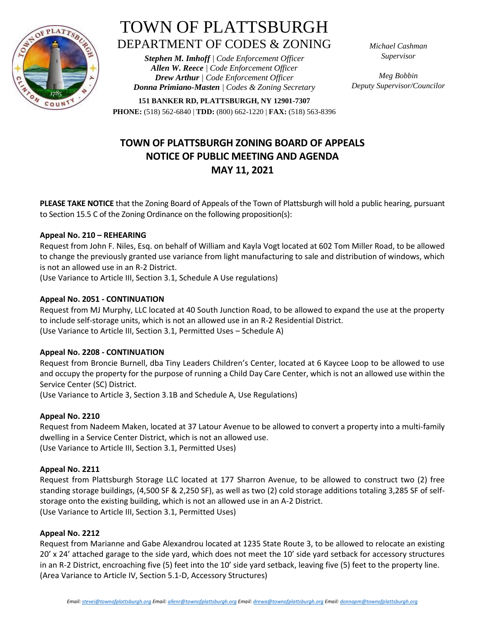

# TOWN OF PLATTSBURGH DEPARTMENT OF CODES & ZONING

*Stephen M. Imhoff | Code Enforcement Officer Allen W. Reece | Code Enforcement Officer Drew Arthur | Code Enforcement Officer Donna Primiano-Masten | Codes & Zoning Secretary* *Michael Cashman Supervisor*

*Meg Bobbin Deputy Supervisor/Councilor*

**151 BANKER RD, PLATTSBURGH, NY 12901-7307 PHONE:** (518) 562-6840 | **TDD:** (800) 662-1220 | **FAX:** (518) 563-8396

# **TOWN OF PLATTSBURGH ZONING BOARD OF APPEALS NOTICE OF PUBLIC MEETING AND AGENDA MAY 11, 2021**

**PLEASE TAKE NOTICE** that the Zoning Board of Appeals of the Town of Plattsburgh will hold a public hearing, pursuant to Section 15.5 C of the Zoning Ordinance on the following proposition(s):

### **Appeal No. 210 – REHEARING**

Request from John F. Niles, Esq. on behalf of William and Kayla Vogt located at 602 Tom Miller Road, to be allowed to change the previously granted use variance from light manufacturing to sale and distribution of windows, which is not an allowed use in an R-2 District.

(Use Variance to Article III, Section 3.1, Schedule A Use regulations)

## **Appeal No. 2051 - CONTINUATION**

Request from MJ Murphy, LLC located at 40 South Junction Road, to be allowed to expand the use at the property to include self-storage units, which is not an allowed use in an R-2 Residential District. (Use Variance to Article III, Section 3.1, Permitted Uses – Schedule A)

### **Appeal No. 2208 - CONTINUATION**

Request from Broncie Burnell, dba Tiny Leaders Children's Center, located at 6 Kaycee Loop to be allowed to use and occupy the property for the purpose of running a Child Day Care Center, which is not an allowed use within the Service Center (SC) District.

(Use Variance to Article 3, Section 3.1B and Schedule A, Use Regulations)

### **Appeal No. 2210**

Request from Nadeem Maken, located at 37 Latour Avenue to be allowed to convert a property into a multi-family dwelling in a Service Center District, which is not an allowed use. (Use Variance to Article III, Section 3.1, Permitted Uses)

### **Appeal No. 2211**

Request from Plattsburgh Storage LLC located at 177 Sharron Avenue, to be allowed to construct two (2) free standing storage buildings, (4,500 SF & 2,250 SF), as well as two (2) cold storage additions totaling 3,285 SF of selfstorage onto the existing building, which is not an allowed use in an A-2 District. (Use Variance to Article III, Section 3.1, Permitted Uses)

### **Appeal No. 2212**

Request from Marianne and Gabe Alexandrou located at 1235 State Route 3, to be allowed to relocate an existing 20' x 24' attached garage to the side yard, which does not meet the 10' side yard setback for accessory structures in an R-2 District, encroaching five (5) feet into the 10' side yard setback, leaving five (5) feet to the property line. (Area Variance to Article IV, Section 5.1-D, Accessory Structures)